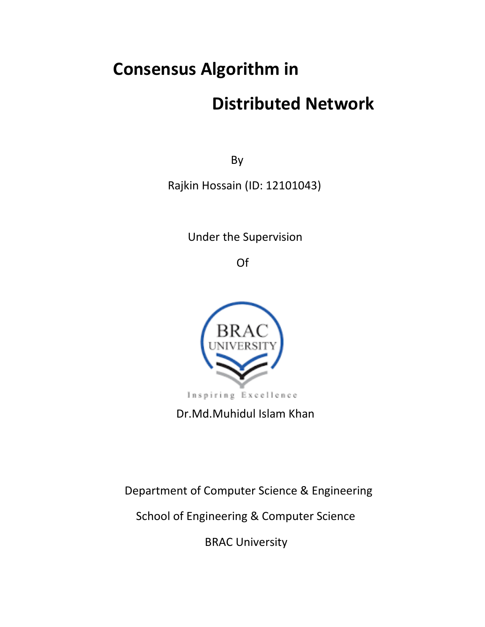# **Consensus Algorithm in**

# **Distributed Network**

**By** the state of the state of the state of the state of the state of the state of the state of the state of the state of the state of the state of the state of the state of the state of the state of the state of the state

Rajkin Hossain (ID: 12101043)

Under the Supervision

**Of the contract of the contract of the contract of the contract of the contract of the contract of the contract of the contract of the contract of the contract of the contract of the contract of the contract of the contra** 



Dr.Md.Muhidul Islam Khan

Department of Computer Science & Engineering

School of Engineering & Computer Science

BRAC University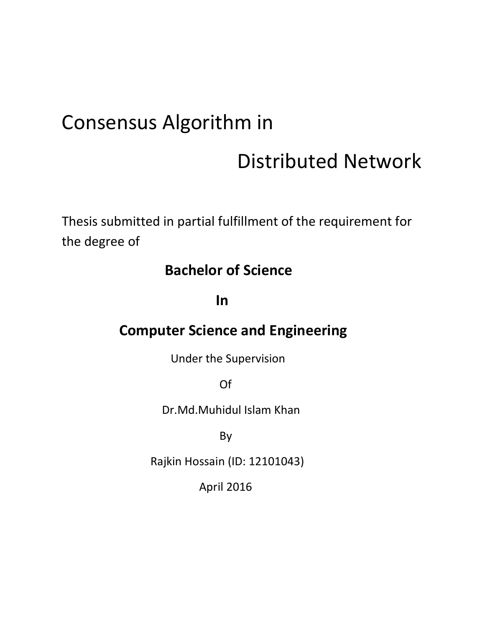# Consensus Algorithm in

# Distributed Network

Thesis submitted in partial fulfillment of the requirement for the degree of

# **Bachelor of Science**

**In In In** 

# **Computer Science and Engineering**

Under the Supervision

**Of the contract of the contract of the contract of the contract of the contract of the contract of the contract of the contract of the contract of the contract of the contract of the contract of the contract of the contra** 

Dr.Md.Muhidul Islam Khan

and the state of the Bystem By

Rajkin Hossain (ID: 12101043)

April 2016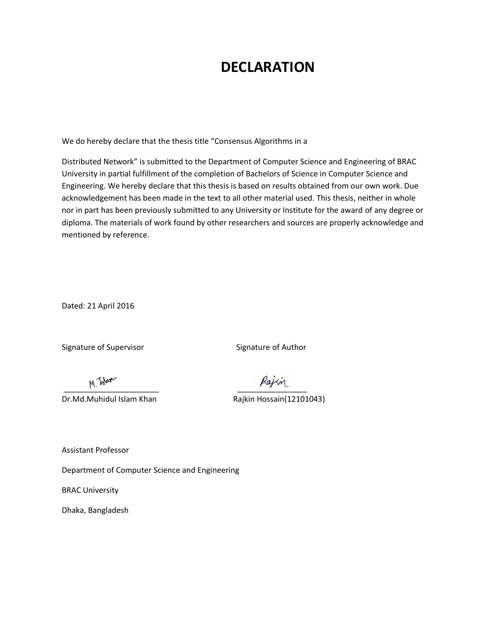# **DECLARATION**

We do hereby declare that the thesis title "Consensus Algorithms in a

Distributed Network" is submitted to the Department of Computer Science and Engineering of BRAC University in partial fulfillment of the completion of Bachelors of Science in Computer Science and Engineering. We hereby declare that this thesis is based on results obtained from our own work. Due acknowledgement has been made in the text to all other material used. This thesis, neither in whole nor in part has been previously submitted to any University or Institute for the award of any degree or diploma. The materials of work found by other researchers and sources are properly acknowledge and mentioned by reference.

Dated: 21 April 2016

Signature of Supervisor Signature of Author

Dr.Md.Muhidul Islam Khan Rajkin Hossain(12101043)

 $\overline{\phantom{a}11...}$ 

Assistant Professor

Department of Computer Science and Engineering

BRAC University

Dhaka, Bangladesh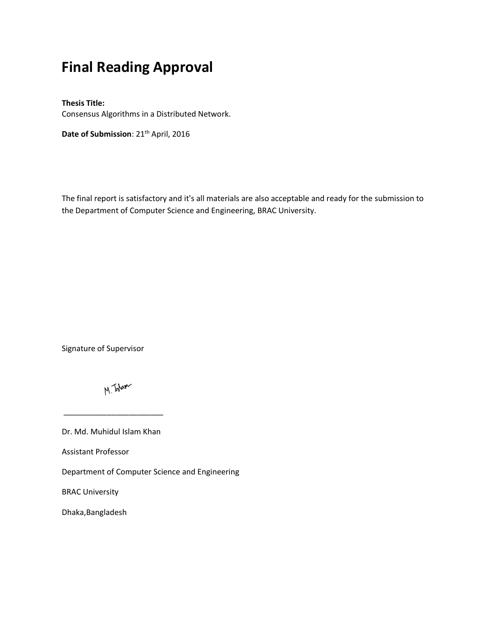# **Final Reading Approval**

#### **Thesis Title:**

Consensus Algorithms in a Distributed Network.

Date of Submission: 21<sup>th</sup> April, 2016

The final report is satisfactory and it's all materials are also acceptable and ready for the submission to the Department of Computer Science and Engineering, BRAC University.

Signature of Supervisor

M. Islam

Dr. Md. Muhidul Islam Khan

 $\overline{\phantom{a}...}$  , we can also the set of  $\overline{\phantom{a}...}$  , we can also the set of  $\overline{\phantom{a}...}$ 

Assistant Professor

Department of Computer Science and Engineering

BRAC University

Dhaka,Bangladesh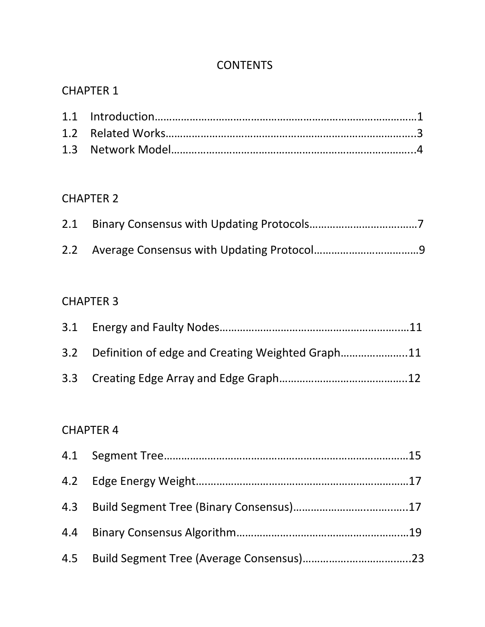### **CONTENTS**

### CHAPTER 1

## CHAPTER 2

### CHAPTER 3

| 3.2 Definition of edge and Creating Weighted Graph11 |  |
|------------------------------------------------------|--|
|                                                      |  |

## CHAPTER 4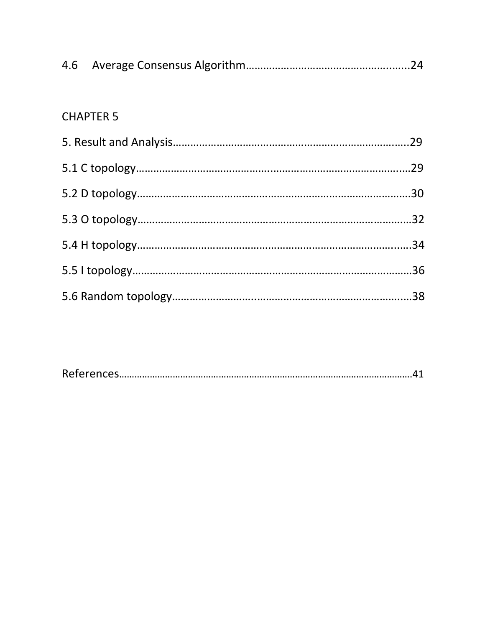## CHAPTER 5

|--|--|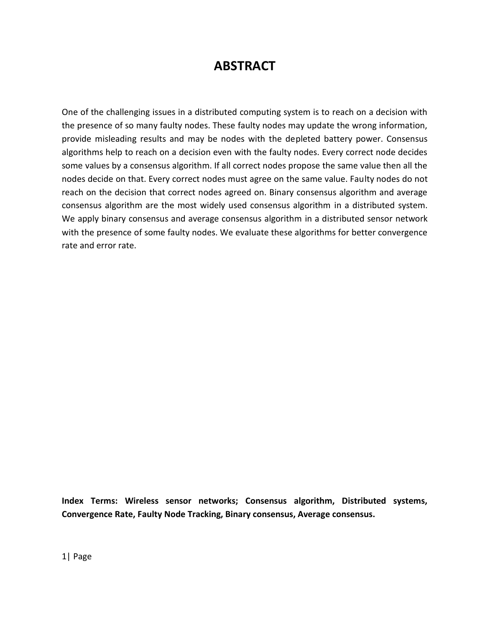## **ABSTRACT**

One of the challenging issues in a distributed computing system is to reach on a decision with the presence of so many faulty nodes. These faulty nodes may update the wrong information, provide misleading results and may be nodes with the depleted battery power. Consensus algorithms help to reach on a decision even with the faulty nodes. Every correct node decides some values by a consensus algorithm. If all correct nodes propose the same value then all the nodes decide on that. Every correct nodes must agree on the same value. Faulty nodes do not reach on the decision that correct nodes agreed on. Binary consensus algorithm and average consensus algorithm are the most widely used consensus algorithm in a distributed system. We apply binary consensus and average consensus algorithm in a distributed sensor network with the presence of some faulty nodes. We evaluate these algorithms for better convergence rate and error rate.

**Index Terms: Wireless sensor networks; Consensus algorithm, Distributed systems, Convergence Rate, Faulty Node Tracking, Binary consensus, Average consensus.**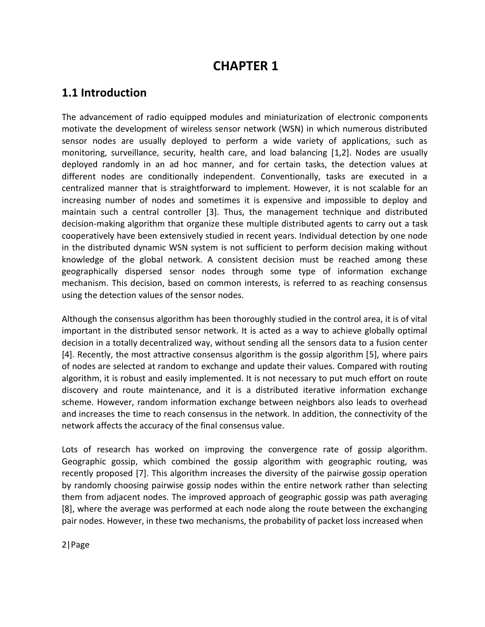### **CHAPTER 1**

### **1.1 Introduction**

The advancement of radio equipped modules and miniaturization of electronic components motivate the development of wireless sensor network (WSN) in which numerous distributed sensor nodes are usually deployed to perform a wide variety of applications, such as monitoring, surveillance, security, health care, and load balancing [1,2]. Nodes are usually deployed randomly in an ad hoc manner, and for certain tasks, the detection values at different nodes are conditionally independent. Conventionally, tasks are executed in a centralized manner that is straightforward to implement. However, it is not scalable for an increasing number of nodes and sometimes it is expensive and impossible to deploy and maintain such a central controller [3]. Thus, the management technique and distributed decision-making algorithm that organize these multiple distributed agents to carry out a task cooperatively have been extensively studied in recent years. Individual detection by one node in the distributed dynamic WSN system is not sufficient to perform decision making without knowledge of the global network. A consistent decision must be reached among these geographically dispersed sensor nodes through some type of information exchange mechanism. This decision, based on common interests, is referred to as reaching consensus using the detection values of the sensor nodes.

Although the consensus algorithm has been thoroughly studied in the control area, it is of vital important in the distributed sensor network. It is acted as a way to achieve globally optimal decision in a totally decentralized way, without sending all the sensors data to a fusion center [4]. Recently, the most attractive consensus algorithm is the gossip algorithm [5], where pairs of nodes are selected at random to exchange and update their values. Compared with routing algorithm, it is robust and easily implemented. It is not necessary to put much effort on route discovery and route maintenance, and it is a distributed iterative information exchange scheme. However, random information exchange between neighbors also leads to overhead and increases the time to reach consensus in the network. In addition, the connectivity of the network affects the accuracy of the final consensus value.

Lots of research has worked on improving the convergence rate of gossip algorithm. Geographic gossip, which combined the gossip algorithm with geographic routing, was recently proposed [7]. This algorithm increases the diversity of the pairwise gossip operation by randomly choosing pairwise gossip nodes within the entire network rather than selecting them from adjacent nodes. The improved approach of geographic gossip was path averaging [8], where the average was performed at each node along the route between the exchanging pair nodes. However, in these two mechanisms, the probability of packet loss increased when

2|Page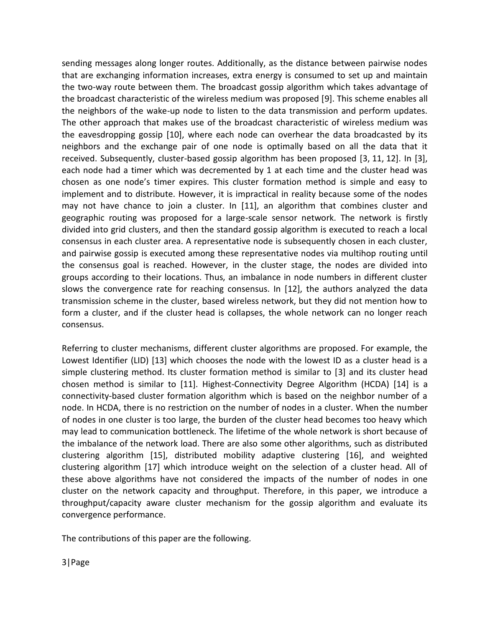sending messages along longer routes. Additionally, as the distance between pairwise nodes that are exchanging information increases, extra energy is consumed to set up and maintain the two-way route between them. The broadcast gossip algorithm which takes advantage of the broadcast characteristic of the wireless medium was proposed [9]. This scheme enables all the neighbors of the wake-up node to listen to the data transmission and perform updates. The other approach that makes use of the broadcast characteristic of wireless medium was the eavesdropping gossip [10], where each node can overhear the data broadcasted by its neighbors and the exchange pair of one node is optimally based on all the data that it received. Subsequently, cluster-based gossip algorithm has been proposed [3, 11, 12]. In [3], each node had a timer which was decremented by 1 at each time and the cluster head was chosen as one node's timer expires. This cluster formation method is simple and easy to implement and to distribute. However, it is impractical in reality because some of the nodes may not have chance to join a cluster. In [11], an algorithm that combines cluster and geographic routing was proposed for a large-scale sensor network. The network is firstly divided into grid clusters, and then the standard gossip algorithm is executed to reach a local consensus in each cluster area. A representative node is subsequently chosen in each cluster, and pairwise gossip is executed among these representative nodes via multihop routing until the consensus goal is reached. However, in the cluster stage, the nodes are divided into groups according to their locations. Thus, an imbalance in node numbers in different cluster slows the convergence rate for reaching consensus. In [12], the authors analyzed the data transmission scheme in the cluster, based wireless network, but they did not mention how to form a cluster, and if the cluster head is collapses, the whole network can no longer reach consensus.

Referring to cluster mechanisms, different cluster algorithms are proposed. For example, the Lowest Identifier (LID) [13] which chooses the node with the lowest ID as a cluster head is a simple clustering method. Its cluster formation method is similar to [3] and its cluster head chosen method is similar to [11]. Highest-Connectivity Degree Algorithm (HCDA) [14] is a connectivity-based cluster formation algorithm which is based on the neighbor number of a node. In HCDA, there is no restriction on the number of nodes in a cluster. When the number of nodes in one cluster is too large, the burden of the cluster head becomes too heavy which may lead to communication bottleneck. The lifetime of the whole network is short because of the imbalance of the network load. There are also some other algorithms, such as distributed clustering algorithm [15], distributed mobility adaptive clustering [16], and weighted clustering algorithm [17] which introduce weight on the selection of a cluster head. All of these above algorithms have not considered the impacts of the number of nodes in one cluster on the network capacity and throughput. Therefore, in this paper, we introduce a throughput/capacity aware cluster mechanism for the gossip algorithm and evaluate its convergence performance.

The contributions of this paper are the following.

3|Page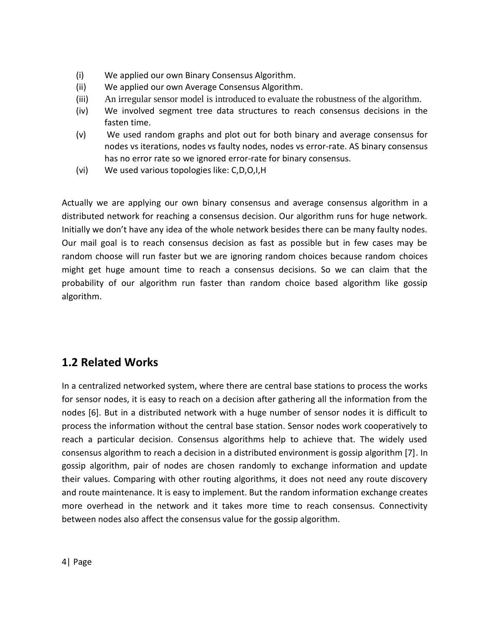- (i) We applied our own Binary Consensus Algorithm.
- (ii) We applied our own Average Consensus Algorithm.
- (iii) An irregular sensor model is introduced to evaluate the robustness of the algorithm.
- (iv) We involved segment tree data structures to reach consensus decisions in the fasten time.
- (v) We used random graphs and plot out for both binary and average consensus for nodes vs iterations, nodes vs faulty nodes, nodes vs error-rate. AS binary consensus has no error rate so we ignored error-rate for binary consensus.
- (vi) We used various topologies like: C,D,O,I,H

Actually we are applying our own binary consensus and average consensus algorithm in a distributed network for reaching a consensus decision. Our algorithm runs for huge network. Initially we don't have any idea of the whole network besides there can be many faulty nodes. Our mail goal is to reach consensus decision as fast as possible but in few cases may be random choose will run faster but we are ignoring random choices because random choices might get huge amount time to reach a consensus decisions. So we can claim that the probability of our algorithm run faster than random choice based algorithm like gossip algorithm.

### **1.2 Related Works**

In a centralized networked system, where there are central base stations to process the works for sensor nodes, it is easy to reach on a decision after gathering all the information from the nodes [6]. But in a distributed network with a huge number of sensor nodes it is difficult to process the information without the central base station. Sensor nodes work cooperatively to reach a particular decision. Consensus algorithms help to achieve that. The widely used consensus algorithm to reach a decision in a distributed environment is gossip algorithm [7]. In gossip algorithm, pair of nodes are chosen randomly to exchange information and update their values. Comparing with other routing algorithms, it does not need any route discovery and route maintenance. It is easy to implement. But the random information exchange creates more overhead in the network and it takes more time to reach consensus. Connectivity between nodes also affect the consensus value for the gossip algorithm.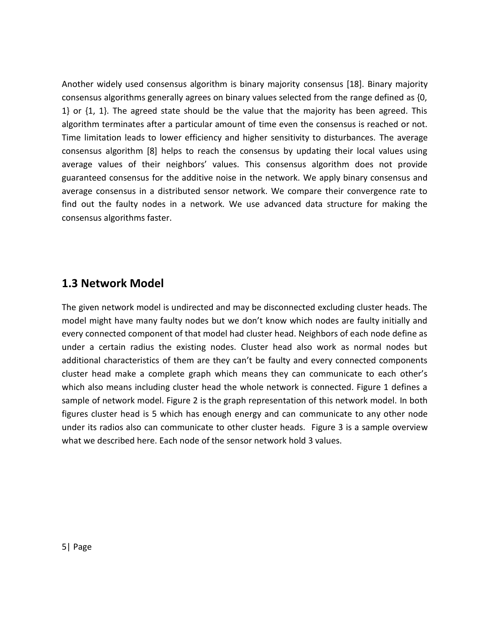Another widely used consensus algorithm is binary majority consensus [18]. Binary majority consensus algorithms generally agrees on binary values selected from the range defined as {0, 1} or {1, 1}. The agreed state should be the value that the majority has been agreed. This algorithm terminates after a particular amount of time even the consensus is reached or not. Time limitation leads to lower efficiency and higher sensitivity to disturbances. The average consensus algorithm [8] helps to reach the consensus by updating their local values using average values of their neighbors' values. This consensus algorithm does not provide guaranteed consensus for the additive noise in the network. We apply binary consensus and average consensus in a distributed sensor network. We compare their convergence rate to find out the faulty nodes in a network. We use advanced data structure for making the consensus algorithms faster.

### **1.3 Network Model**

The given network model is undirected and may be disconnected excluding cluster heads. The model might have many faulty nodes but we don't know which nodes are faulty initially and every connected component of that model had cluster head. Neighbors of each node define as under a certain radius the existing nodes. Cluster head also work as normal nodes but additional characteristics of them are they can't be faulty and every connected components cluster head make a complete graph which means they can communicate to each other's which also means including cluster head the whole network is connected. Figure 1 defines a sample of network model. Figure 2 is the graph representation of this network model. In both figures cluster head is 5 which has enough energy and can communicate to any other node under its radios also can communicate to other cluster heads. Figure 3 is a sample overview what we described here. Each node of the sensor network hold 3 values.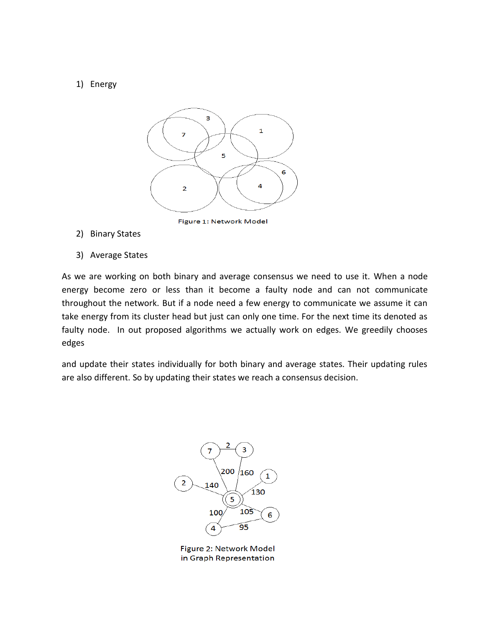#### 1) Energy



Figure 1: Network Model

- 2) Binary States
- 3) Average States

As we are working on both binary and average consensus we need to use it. When a node energy become zero or less than it become a faulty node and can not communicate throughout the network. But if a node need a few energy to communicate we assume it can take energy from its cluster head but just can only one time. For the next time its denoted as faulty node. In out proposed algorithms we actually work on edges. We greedily chooses edges

and update their states individually for both binary and average states. Their updating rules are also different. So by updating their states we reach a consensus decision.



Figure 2: Network Model in Graph Representation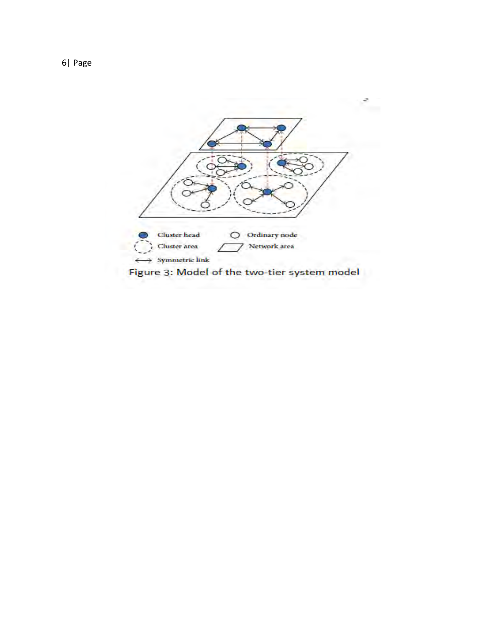

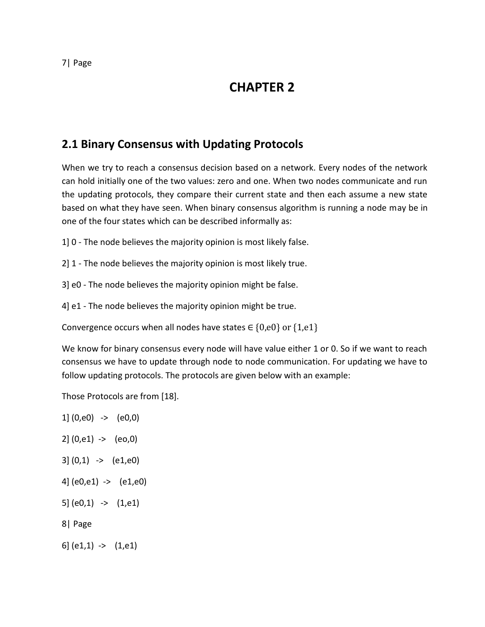## **CHAPTER 2**

### **2.1 Binary Consensus with Updating Protocols**

When we try to reach a consensus decision based on a network. Every nodes of the network can hold initially one of the two values: zero and one. When two nodes communicate and run the updating protocols, they compare their current state and then each assume a new state based on what they have seen. When binary consensus algorithm is running a node may be in one of the four states which can be described informally as:

1] 0 - The node believes the majority opinion is most likely false.

2] 1 - The node believes the majority opinion is most likely true.

3] e0 - The node believes the majority opinion might be false.

4] e1 - The node believes the majority opinion might be true.

Convergence occurs when all nodes have states  $\in$  {0,e0} or {1,e1}

We know for binary consensus every node will have value either 1 or 0. So if we want to reach consensus we have to update through node to node communication. For updating we have to follow updating protocols. The protocols are given below with an example:

Those Protocols are from [18].

1] (0,e0) -> (e0,0)  $2|(0, e1)$  ->  $(e0, 0)$  $3|(0,1) \rightarrow (e1,e0)$ 4] (e0,e1) -> (e1,e0) 5] (e0,1) -> (1,e1) 8| Page 6]  $(e1,1)$  ->  $(1,e1)$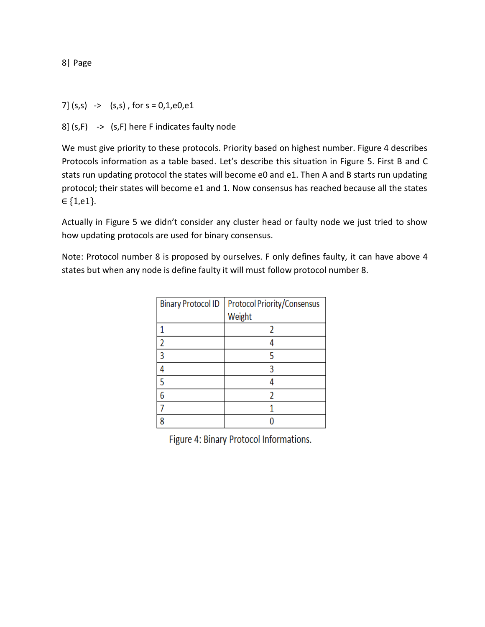7]  $(s,s)$   $\rightarrow$   $(s,s)$ , for  $s = 0,1,e0,e1$ 

8]  $(s, F)$  ->  $(s, F)$  here F indicates faulty node

We must give priority to these protocols. Priority based on highest number. Figure 4 describes Protocols information as a table based. Let's describe this situation in Figure 5. First B and C stats run updating protocol the states will become e0 and e1. Then A and B starts run updating protocol; their states will become e1 and 1. Now consensus has reached because all the states ∈ {1,e1}.

Actually in Figure 5 we didn't consider any cluster head or faulty node we just tried to show how updating protocols are used for binary consensus.

Note: Protocol number 8 is proposed by ourselves. F only defines faulty, it can have above 4 states but when any node is define faulty it will must follow protocol number 8.

| <b>Binary Protocol ID</b> | Protocol Priority/Consensus |
|---------------------------|-----------------------------|
|                           | Weight                      |
|                           |                             |
|                           |                             |
| ٩                         |                             |
|                           |                             |
| ς                         |                             |
| 6                         |                             |
|                           |                             |
|                           |                             |

Figure 4: Binary Protocol Informations.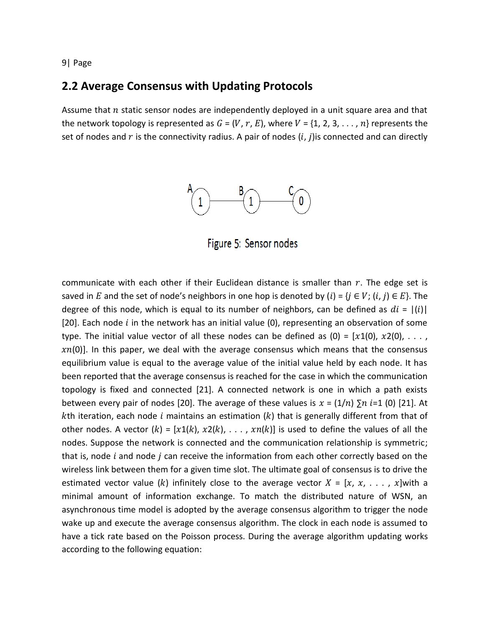### **2.2 Average Consensus with Updating Protocols**

Assume that  $n$  static sensor nodes are independently deployed in a unit square area and that the network topology is represented as  $G = (V, r, E)$ , where  $V = \{1, 2, 3, \ldots, n\}$  represents the set of nodes and  $r$  is the connectivity radius. A pair of nodes  $(i, j)$  is connected and can directly



Figure 5: Sensor nodes

communicate with each other if their Euclidean distance is smaller than  $r$ . The edge set is saved in E and the set of node's neighbors in one hop is denoted by  $(i) = \{j \in V; (i, j) \in E\}$ . The degree of this node, which is equal to its number of neighbors, can be defined as  $di = |(i)|$ [20]. Each node  $i$  in the network has an initial value (0), representing an observation of some type. The initial value vector of all these nodes can be defined as (0) =  $[x1(0), x2(0), \ldots, x]$  $xn(0)$ ]. In this paper, we deal with the average consensus which means that the consensus equilibrium value is equal to the average value of the initial value held by each node. It has been reported that the average consensus is reached for the case in which the communication topology is fixed and connected [21]. A connected network is one in which a path exists between every pair of nodes [20]. The average of these values is  $x = (1/n) \sum n_i =1$  (0) [21]. At *k*th iteration, each node i maintains an estimation  $(k)$  that is generally different from that of other nodes. A vector  $(k) = [x1(k), x2(k), \ldots, xn(k)]$  is used to define the values of all the nodes. Suppose the network is connected and the communication relationship is symmetric; that is, node  $i$  and node  $j$  can receive the information from each other correctly based on the wireless link between them for a given time slot. The ultimate goal of consensus is to drive the estimated vector value (k) infinitely close to the average vector  $X = [x, x, \ldots, x]$  with a minimal amount of information exchange. To match the distributed nature of WSN, an asynchronous time model is adopted by the average consensus algorithm to trigger the node wake up and execute the average consensus algorithm. The clock in each node is assumed to have a tick rate based on the Poisson process. During the average algorithm updating works according to the following equation: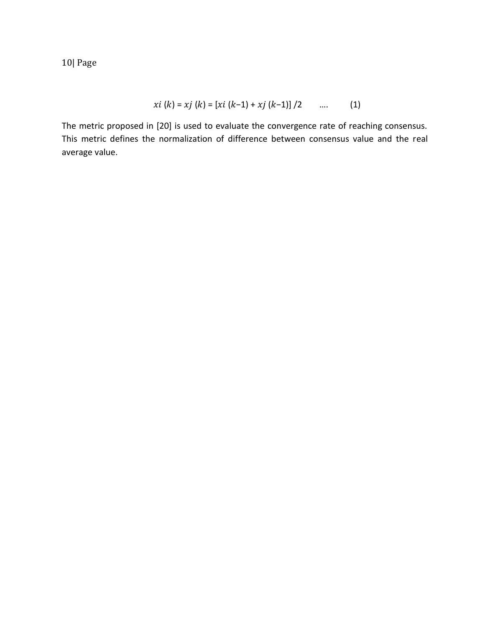$$
xi (k) = xj (k) = [xi (k-1) + xj (k-1)] / 2 \qquad .... \qquad (1)
$$

The metric proposed in [20] is used to evaluate the convergence rate of reaching consensus. This metric defines the normalization of difference between consensus value and the real average value.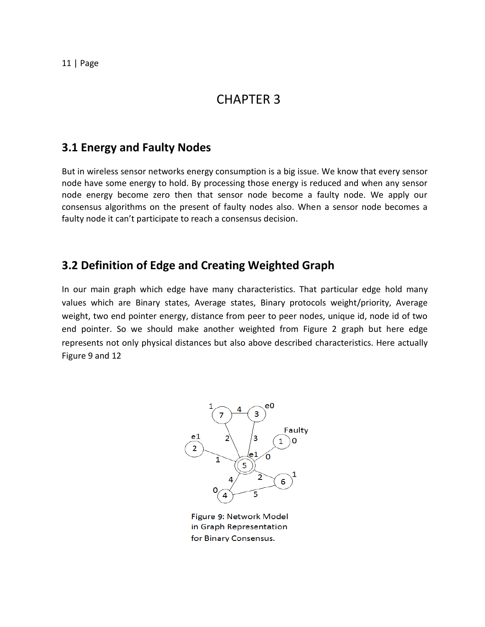### CHAPTER 3

### **3.1 Energy and Faulty Nodes**

But in wireless sensor networks energy consumption is a big issue. We know that every sensor node have some energy to hold. By processing those energy is reduced and when any sensor node energy become zero then that sensor node become a faulty node. We apply our consensus algorithms on the present of faulty nodes also. When a sensor node becomes a faulty node it can't participate to reach a consensus decision.

### **3.2 Definition of Edge and Creating Weighted Graph**

In our main graph which edge have many characteristics. That particular edge hold many values which are Binary states, Average states, Binary protocols weight/priority, Average weight, two end pointer energy, distance from peer to peer nodes, unique id, node id of two end pointer. So we should make another weighted from Figure 2 graph but here edge represents not only physical distances but also above described characteristics. Here actually Figure 9 and 12



Figure 9: Network Model in Graph Representation for Binary Consensus.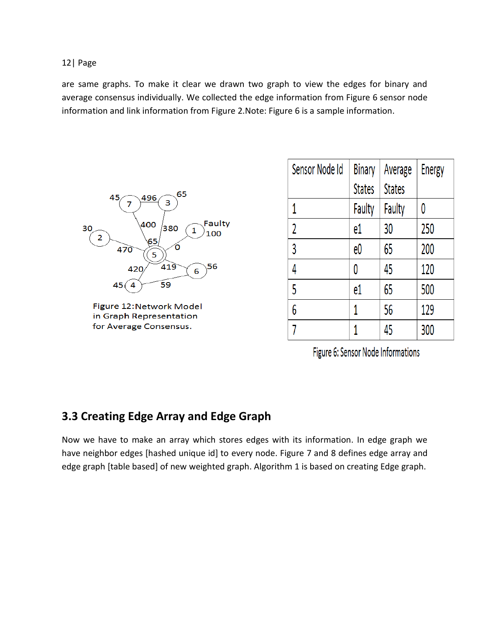are same graphs. To make it clear we drawn two graph to view the edges for binary and average consensus individually. We collected the edge information from Figure 6 sensor node information and link information from Figure 2.Note: Figure 6 is a sample information.



Figure 12: Network Model in Graph Representation for Average Consensus.

| Sensor Node Id | <b>Binary</b> | Average       | <b>Energy</b> |
|----------------|---------------|---------------|---------------|
|                | <b>States</b> | <b>States</b> |               |
| 1              | Faulty        | Faulty        | 0             |
| 2              | e1            | 30            | 250           |
| 3              | e0            | 65            | 200           |
| 4              | 0             | 45            | 120           |
| 5              | e1            | 65            | 500           |
| 6              | 1             | 56            | 129           |
|                |               | 45            | 300           |

Figure 6: Sensor Node Informations

### **3.3 Creating Edge Array and Edge Graph**

Now we have to make an array which stores edges with its information. In edge graph we have neighbor edges [hashed unique id] to every node. Figure 7 and 8 defines edge array and edge graph [table based] of new weighted graph. Algorithm 1 is based on creating Edge graph.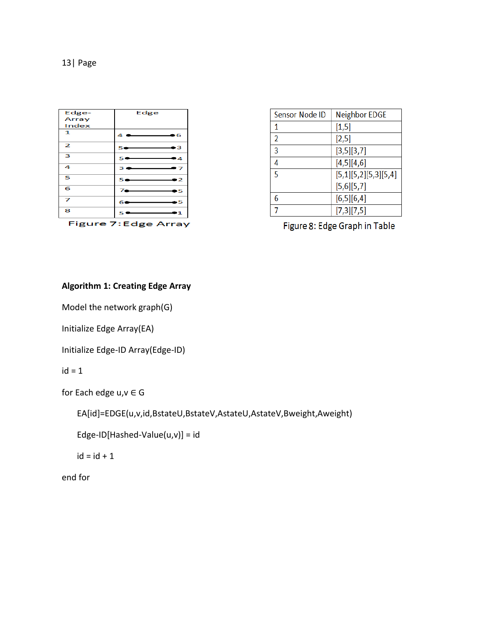| Edge-                | Edge                |  |
|----------------------|---------------------|--|
| Array                |                     |  |
| Index                |                     |  |
| 1                    | 4.<br>•6            |  |
| $\overline{2}$       | ь3<br>54            |  |
| 3                    | 50<br>.4            |  |
| 4                    | 3.5<br>-7           |  |
| 5                    | $\mathcal{P}$<br>5. |  |
| 6                    | *5                  |  |
| 7                    | .5<br>6             |  |
| 8                    | -1<br>5             |  |
| Figure 7: Edge Array |                     |  |

| Sensor Node ID | Neighbor EDGE        |
|----------------|----------------------|
| 1              | [1,5]                |
| $\overline{2}$ | [2,5]                |
| 3              | [3,5][3,7]           |
| 4              | [4,5][4,6]           |
| 5              | [5,1][5,2][5,3][5,4] |
|                | [5,6][5,7]           |
| 6              | [6,5][6,4]           |
|                | [7,3][7,5]           |

The County

 $\overline{1}$ 

 $\overline{\ldots}$ ╦  $\overline{1}$ 

Figure 8: Edge Graph in Table

#### **Algorithm 1: Creating Edge Array**

Model the network graph(G)

Initialize Edge Array(EA)

```
Initialize Edge-ID Array(Edge-ID)
```
 $id = 1$ 

```
for Each edge u,v \in G
```
EA[id]=EDGE(u,v,id,BstateU,BstateV,AstateU,AstateV,Bweight,Aweight)

Edge-ID[Hashed-Value(u,v)] = id

 $id = id + 1$ 

end for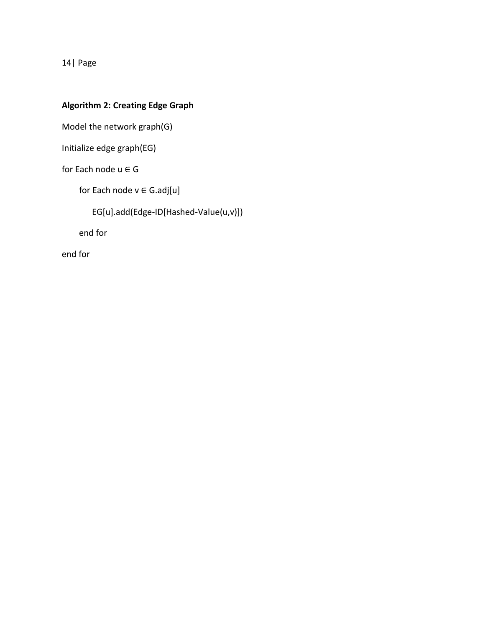### **Algorithm 2: Creating Edge Graph**

Model the network graph(G)

Initialize edge graph(EG)

for Each node  $u \in G$ 

for Each node  $v \in G$ .adj[u]

EG[u].add(Edge-ID[Hashed-Value(u,v)])

end for

end for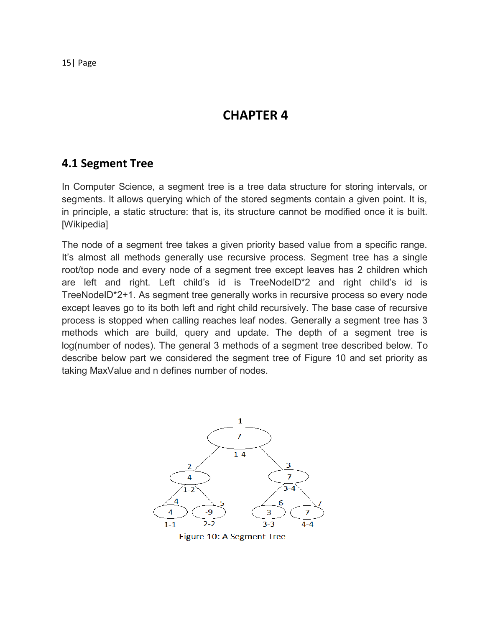**CHAPTER 4** 

### **4.1 Segment Tree**

In Computer Science, a segment tree is a tree data structure for storing intervals, or segments. It allows querying which of the stored segments contain a given point. It is, in principle, a static structure: that is, its structure cannot be modified once it is built. [Wikipedia]

The node of a segment tree takes a given priority based value from a specific range. It's almost all methods generally use recursive process. Segment tree has a single root/top node and every node of a segment tree except leaves has 2 children which are left and right. Left child's id is TreeNodeID\*2 and right child's id is TreeNodeID\*2+1. As segment tree generally works in recursive process so every node except leaves go to its both left and right child recursively. The base case of recursive process is stopped when calling reaches leaf nodes. Generally a segment tree has 3 methods which are build, query and update. The depth of a segment tree is log(number of nodes). The general 3 methods of a segment tree described below. To describe below part we considered the segment tree of Figure 10 and set priority as taking MaxValue and n defines number of nodes.



Figure 10: A Segment Tree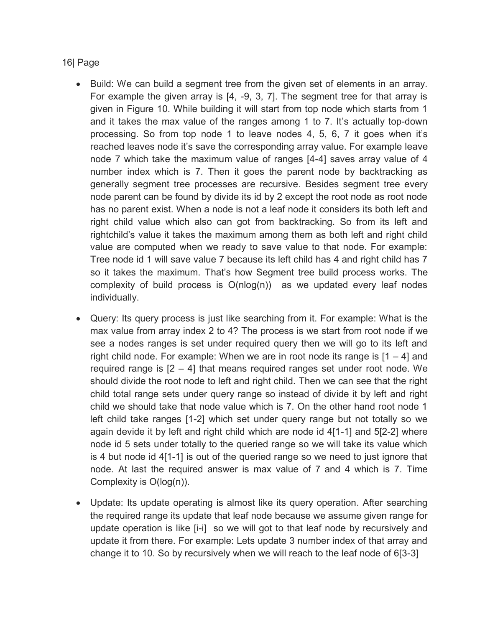- Build: We can build a segment tree from the given set of elements in an array. For example the given array is [4, -9, 3, 7]. The segment tree for that array is given in Figure 10. While building it will start from top node which starts from 1 and it takes the max value of the ranges among 1 to 7. It's actually top-down processing. So from top node 1 to leave nodes 4, 5, 6, 7 it goes when it's reached leaves node it's save the corresponding array value. For example leave node 7 which take the maximum value of ranges [4-4] saves array value of 4 number index which is 7. Then it goes the parent node by backtracking as generally segment tree processes are recursive. Besides segment tree every node parent can be found by divide its id by 2 except the root node as root node has no parent exist. When a node is not a leaf node it considers its both left and right child value which also can got from backtracking. So from its left and rightchild's value it takes the maximum among them as both left and right child value are computed when we ready to save value to that node. For example: Tree node id 1 will save value 7 because its left child has 4 and right child has 7 so it takes the maximum. That's how Segment tree build process works. The complexity of build process is  $O(n \log(n))$  as we updated every leaf nodes individually.
- Query: Its query process is just like searching from it. For example: What is the max value from array index 2 to 4? The process is we start from root node if we see a nodes ranges is set under required query then we will go to its left and right child node. For example: When we are in root node its range is  $[1 - 4]$  and required range is [2 – 4] that means required ranges set under root node. We should divide the root node to left and right child. Then we can see that the right child total range sets under query range so instead of divide it by left and right child we should take that node value which is 7. On the other hand root node 1 left child take ranges [1-2] which set under query range but not totally so we again devide it by left and right child which are node id 4[1-1] and 5[2-2] where node id 5 sets under totally to the queried range so we will take its value which is 4 but node id 4[1-1] is out of the queried range so we need to just ignore that node. At last the required answer is max value of 7 and 4 which is 7. Time Complexity is O(log(n)).
- Update: Its update operating is almost like its query operation. After searching the required range its update that leaf node because we assume given range for update operation is like [i-i] so we will got to that leaf node by recursively and update it from there. For example: Lets update 3 number index of that array and change it to 10. So by recursively when we will reach to the leaf node of 6[3-3]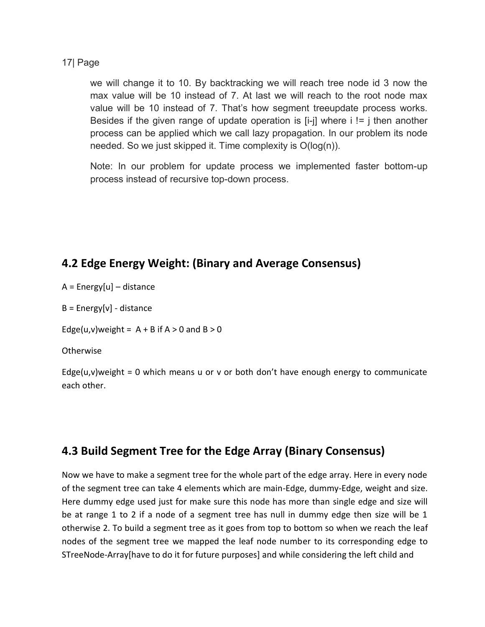we will change it to 10. By backtracking we will reach tree node id 3 now the max value will be 10 instead of 7. At last we will reach to the root node max value will be 10 instead of 7. That's how segment treeupdate process works. Besides if the given range of update operation is  $[i-j]$  where  $i! = j$  then another process can be applied which we call lazy propagation. In our problem its node needed. So we just skipped it. Time complexity is O(log(n)).

Note: In our problem for update process we implemented faster bottom-up process instead of recursive top-down process.

### **4.2 Edge Energy Weight: (Binary and Average Consensus)**

A = Energy[u] – distance

 $B = Energy[v] - distance$ 

Edge(u,v)weight =  $A + B$  if  $A > 0$  and  $B > 0$ 

Otherwise

Edge( $u,v$ )weight = 0 which means u or v or both don't have enough energy to communicate each other.

### **4.3 Build Segment Tree for the Edge Array (Binary Consensus)**

Now we have to make a segment tree for the whole part of the edge array. Here in every node of the segment tree can take 4 elements which are main-Edge, dummy-Edge, weight and size. Here dummy edge used just for make sure this node has more than single edge and size will be at range 1 to 2 if a node of a segment tree has null in dummy edge then size will be 1 otherwise 2. To build a segment tree as it goes from top to bottom so when we reach the leaf nodes of the segment tree we mapped the leaf node number to its corresponding edge to STreeNode-Array[have to do it for future purposes] and while considering the left child and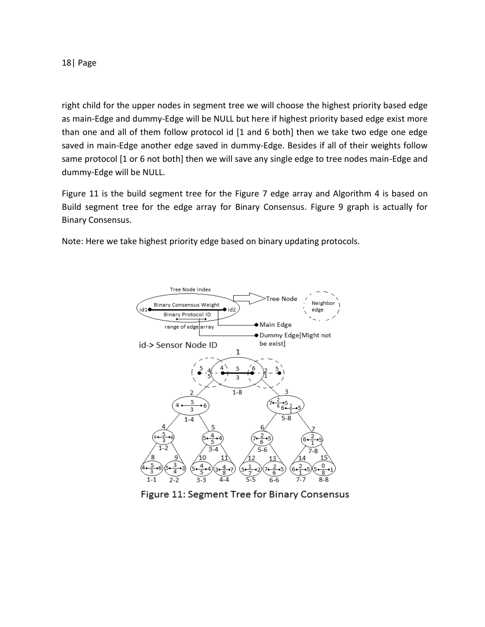right child for the upper nodes in segment tree we will choose the highest priority based edge as main-Edge and dummy-Edge will be NULL but here if highest priority based edge exist more than one and all of them follow protocol id [1 and 6 both] then we take two edge one edge saved in main-Edge another edge saved in dummy-Edge. Besides if all of their weights follow same protocol [1 or 6 not both] then we will save any single edge to tree nodes main-Edge and dummy-Edge will be NULL.

Figure 11 is the build segment tree for the Figure 7 edge array and Algorithm 4 is based on Build segment tree for the edge array for Binary Consensus. Figure 9 graph is actually for Binary Consensus.

Note: Here we take highest priority edge based on binary updating protocols.



Figure 11: Segment Tree for Binary Consensus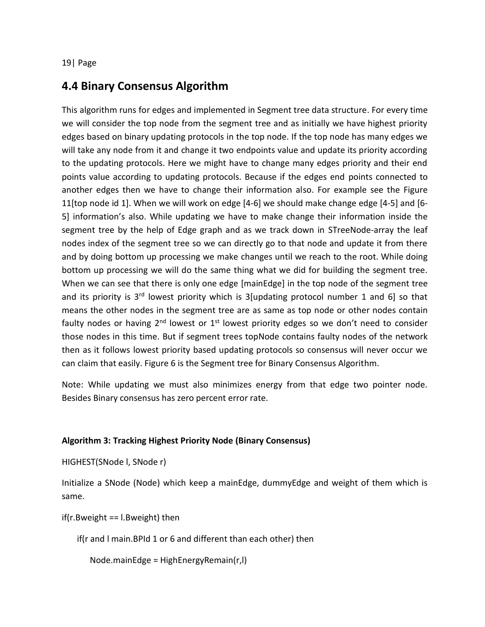### **4.4 Binary Consensus Algorithm**

This algorithm runs for edges and implemented in Segment tree data structure. For every time we will consider the top node from the segment tree and as initially we have highest priority edges based on binary updating protocols in the top node. If the top node has many edges we will take any node from it and change it two endpoints value and update its priority according to the updating protocols. Here we might have to change many edges priority and their end points value according to updating protocols. Because if the edges end points connected to another edges then we have to change their information also. For example see the Figure 11[top node id 1]. When we will work on edge [4-6] we should make change edge [4-5] and [6- 5] information's also. While updating we have to make change their information inside the segment tree by the help of Edge graph and as we track down in STreeNode-array the leaf nodes index of the segment tree so we can directly go to that node and update it from there and by doing bottom up processing we make changes until we reach to the root. While doing bottom up processing we will do the same thing what we did for building the segment tree. When we can see that there is only one edge [mainEdge] in the top node of the segment tree and its priority is  $3<sup>rd</sup>$  lowest priority which is 3 [updating protocol number 1 and 6] so that means the other nodes in the segment tree are as same as top node or other nodes contain faulty nodes or having  $2^{nd}$  lowest or  $1^{st}$  lowest priority edges so we don't need to consider those nodes in this time. But if segment trees topNode contains faulty nodes of the network then as it follows lowest priority based updating protocols so consensus will never occur we can claim that easily. Figure 6 is the Segment tree for Binary Consensus Algorithm.

Note: While updating we must also minimizes energy from that edge two pointer node. Besides Binary consensus has zero percent error rate.

#### **Algorithm 3: Tracking Highest Priority Node (Binary Consensus)**

HIGHEST(SNode l, SNode r)

Initialize a SNode (Node) which keep a mainEdge, dummyEdge and weight of them which is same.

if(r.Bweight == l.Bweight) then

if(r and l main.BPId 1 or 6 and different than each other) then

Node.mainEdge = HighEnergyRemain(r,l)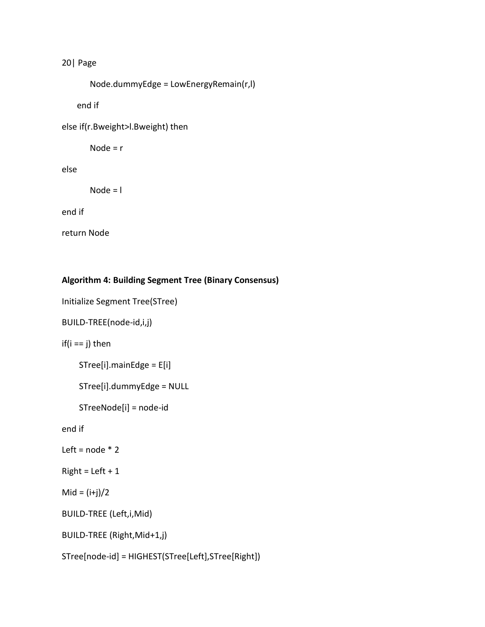```
 Node.dummyEdge = LowEnergyRemain(r,l)
```
end if

else if(r.Bweight>l.Bweight) then

Node =  $r$ 

else

Node = l

end if

return Node

#### **Algorithm 4: Building Segment Tree (Binary Consensus)**

```
Initialize Segment Tree(STree)
```

```
BUILD-TREE(node-id,i,j)
```
if( $i == j$ ) then

```
 STree[i].mainEdge = E[i]
```

```
 STree[i].dummyEdge = NULL
```
STreeNode[i] = node-id

end if

```
Left = node * 2
```
 $Right = Left + 1$ 

 $Mid = (i+j)/2$ 

```
BUILD-TREE (Left,i,Mid)
```
BUILD-TREE (Right,Mid+1,j)

STree[node-id] = HIGHEST(STree[Left],STree[Right])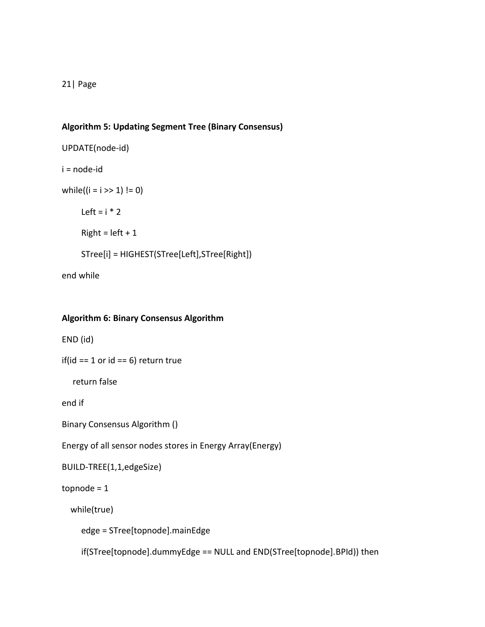#### **Algorithm 5: Updating Segment Tree (Binary Consensus)**

```
UPDATE(node-id) 
i = node-id
while((i = i >> 1) != 0)
     Left = i * 2Right = left + 1 STree[i] = HIGHEST(STree[Left],STree[Right])
```
end while

#### **Algorithm 6: Binary Consensus Algorithm**

END (id)

```
if(id == 1 or id == 6) return true
```
return false

end if

```
Binary Consensus Algorithm ()
```
Energy of all sensor nodes stores in Energy Array(Energy)

```
BUILD-TREE(1,1,edgeSize)
```
topnode = 1

while(true)

edge = STree[topnode].mainEdge

if(STree[topnode].dummyEdge == NULL and END(STree[topnode].BPId)) then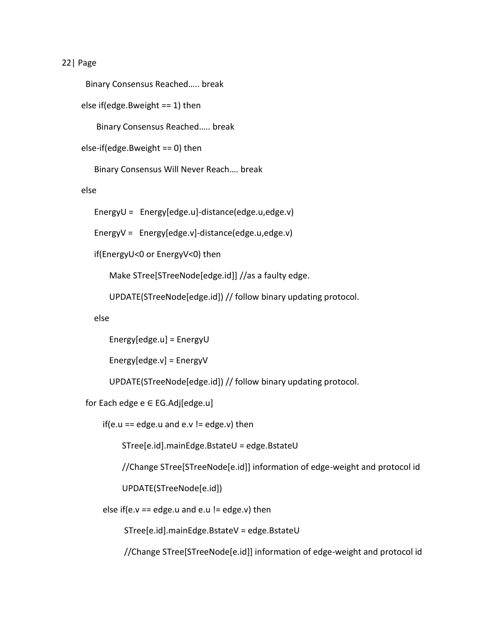```
 Binary Consensus Reached….. break
```
else if(edge.Bweight == 1) then

Binary Consensus Reached….. break

else-if(edge.Bweight == 0) then

Binary Consensus Will Never Reach…. break

else

EnergyU = Energy[edge.u]-distance(edge.u,edge.v)

EnergyV = Energy[edge.v]-distance(edge.u,edge.v)

if(EnergyU<0 or EnergyV<0) then

Make STree[STreeNode[edge.id]] //as a faulty edge.

UPDATE(STreeNode[edge.id]) // follow binary updating protocol.

else

Energy[edge.u] = EnergyU

Energy[edge.v] = EnergyV

UPDATE(STreeNode[edge.id]) // follow binary updating protocol.

for Each edge e ∈ EG.Adj[edge.u]

if(e.u == edge.u and e.v != edge.v) then

STree[e.id].mainEdge.BstateU = edge.BstateU

//Change STree[STreeNode[e.id]] information of edge-weight and protocol id

UPDATE(STreeNode[e.id])

else if(e.v == edge.u and e.u != edge.v) then

STree[e.id].mainEdge.BstateV = edge.BstateU

//Change STree[STreeNode[e.id]] information of edge-weight and protocol id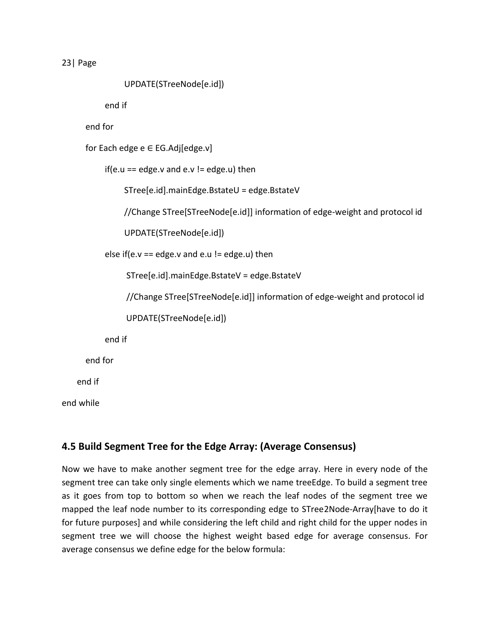UPDATE(STreeNode[e.id])

end if

end for

for Each edge e ∈ EG.Adj[edge.v]

if(e.u == edge.v and e.v != edge.u) then

STree[e.id].mainEdge.BstateU = edge.BstateV

//Change STree[STreeNode[e.id]] information of edge-weight and protocol id

UPDATE(STreeNode[e.id])

else if(e.v == edge.v and e.u != edge.u) then

STree[e.id].mainEdge.BstateV = edge.BstateV

//Change STree[STreeNode[e.id]] information of edge-weight and protocol id

UPDATE(STreeNode[e.id])

end if

end for

end if

end while

### **4.5 Build Segment Tree for the Edge Array: (Average Consensus)**

Now we have to make another segment tree for the edge array. Here in every node of the segment tree can take only single elements which we name treeEdge. To build a segment tree as it goes from top to bottom so when we reach the leaf nodes of the segment tree we mapped the leaf node number to its corresponding edge to STree2Node-Array[have to do it for future purposes] and while considering the left child and right child for the upper nodes in segment tree we will choose the highest weight based edge for average consensus. For average consensus we define edge for the below formula: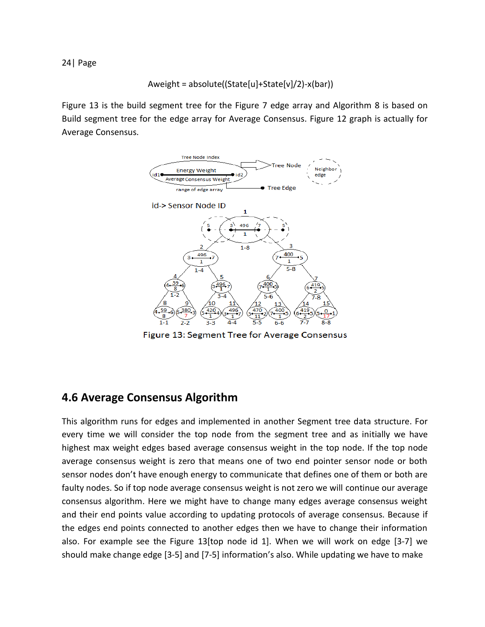$$
A weight = absolute((State[u]+State[v]/2)-x(bar))
$$

Figure 13 is the build segment tree for the Figure 7 edge array and Algorithm 8 is based on Build segment tree for the edge array for Average Consensus. Figure 12 graph is actually for Average Consensus.



Figure 13: Segment Tree for Average Consensus

### **4.6 Average Consensus Algorithm**

This algorithm runs for edges and implemented in another Segment tree data structure. For every time we will consider the top node from the segment tree and as initially we have highest max weight edges based average consensus weight in the top node. If the top node average consensus weight is zero that means one of two end pointer sensor node or both sensor nodes don't have enough energy to communicate that defines one of them or both are faulty nodes. So if top node average consensus weight is not zero we will continue our average consensus algorithm. Here we might have to change many edges average consensus weight and their end points value according to updating protocols of average consensus. Because if the edges end points connected to another edges then we have to change their information also. For example see the Figure 13[top node id 1]. When we will work on edge [3-7] we should make change edge [3-5] and [7-5] information's also. While updating we have to make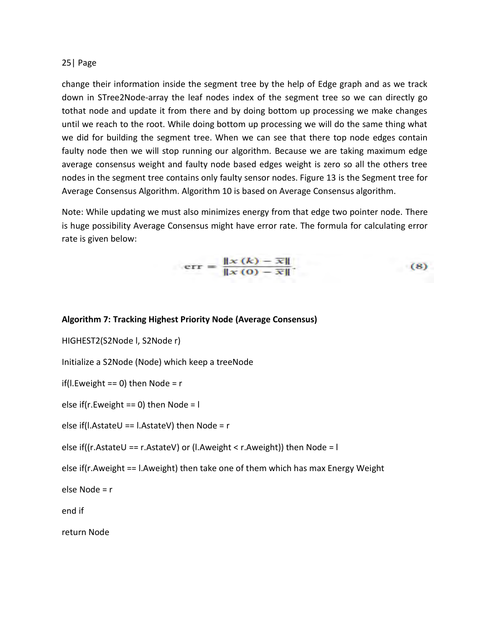change their information inside the segment tree by the help of Edge graph and as we track down in STree2Node-array the leaf nodes index of the segment tree so we can directly go tothat node and update it from there and by doing bottom up processing we make changes until we reach to the root. While doing bottom up processing we will do the same thing what we did for building the segment tree. When we can see that there top node edges contain faulty node then we will stop running our algorithm. Because we are taking maximum edge average consensus weight and faulty node based edges weight is zero so all the others tree nodes in the segment tree contains only faulty sensor nodes. Figure 13 is the Segment tree for Average Consensus Algorithm. Algorithm 10 is based on Average Consensus algorithm.

Note: While updating we must also minimizes energy from that edge two pointer node. There is huge possibility Average Consensus might have error rate. The formula for calculating error rate is given below:

# $err = \frac{\|x(k) - \overline{x}\|}{\|x(0) - \overline{x}\|}.$

 $(8)$ 

#### **Algorithm 7: Tracking Highest Priority Node (Average Consensus)**

HIGHEST2(S2Node l, S2Node r)

Initialize a S2Node (Node) which keep a treeNode

if(l.Eweight == 0) then Node =  $r$ 

else if(r.Eweight == 0) then Node = l

else if(l.AstateU == l.AstateV) then Node =  $r$ 

else if((r.AstateU == r.AstateV) or (l.Aweight < r.Aweight)) then Node =  $\mathsf{I}$ 

else if(r.Aweight == l.Aweight) then take one of them which has max Energy Weight

else Node = r

end if

return Node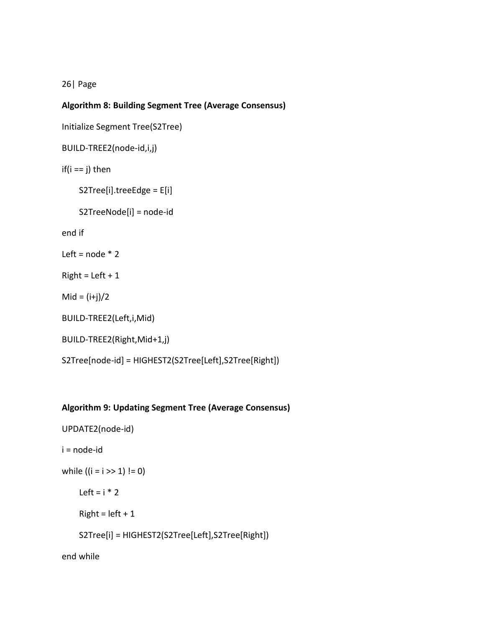#### **Algorithm 8: Building Segment Tree (Average Consensus)**

```
Initialize Segment Tree(S2Tree)
```

```
BUILD-TREE2(node-id,i,j)
```

```
if(i == j) then
```

```
 S2Tree[i].treeEdge = E[i]
```

```
 S2TreeNode[i] = node-id
```
end if

```
Left = node * 2
```
 $Right = Left + 1$ 

 $Mid = (i+j)/2$ 

```
BUILD-TREE2(Left,i,Mid)
```

```
BUILD-TREE2(Right,Mid+1,j)
```
S2Tree[node-id] = HIGHEST2(S2Tree[Left],S2Tree[Right])

#### **Algorithm 9: Updating Segment Tree (Average Consensus)**

```
UPDATE2(node-id)
```

```
i = node-id
```

```
while ((i = i >> 1) != 0)
```
Left =  $i * 2$ 

 $Right = left + 1$ 

S2Tree[i] = HIGHEST2(S2Tree[Left],S2Tree[Right])

end while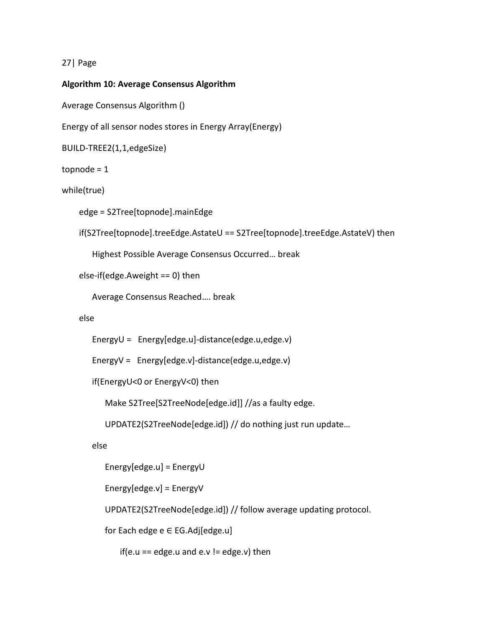#### **Algorithm 10: Average Consensus Algorithm**

Average Consensus Algorithm ()

Energy of all sensor nodes stores in Energy Array(Energy)

```
BUILD-TREE2(1,1,edgeSize)
```
topnode = 1

while(true)

edge = S2Tree[topnode].mainEdge

```
 if(S2Tree[topnode].treeEdge.AstateU == S2Tree[topnode].treeEdge.AstateV) then
```
Highest Possible Average Consensus Occurred… break

else-if(edge.Aweight == 0) then

Average Consensus Reached…. break

#### else

EnergyU = Energy[edge.u]-distance(edge.u,edge.v)

EnergyV = Energy[edge.v]-distance(edge.u,edge.v)

if(EnergyU<0 or EnergyV<0) then

Make S2Tree[S2TreeNode[edge.id]] //as a faulty edge.

UPDATE2(S2TreeNode[edge.id]) // do nothing just run update…

else

Energy[edge.u] = EnergyU

Energy[edge.v] = EnergyV

UPDATE2(S2TreeNode[edge.id]) // follow average updating protocol.

for Each edge e ∈ EG.Adj[edge.u]

if(e.u == edge.u and e.v != edge.v) then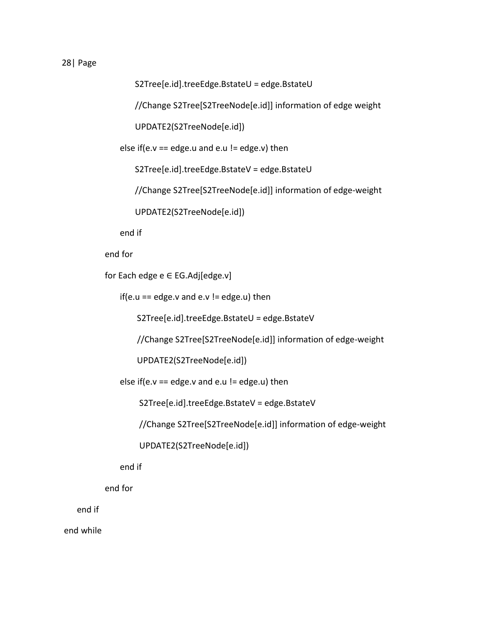S2Tree[e.id].treeEdge.BstateU = edge.BstateU

//Change S2Tree[S2TreeNode[e.id]] information of edge weight

UPDATE2(S2TreeNode[e.id])

else if(e.v == edge.u and e.u != edge.v) then

S2Tree[e.id].treeEdge.BstateV = edge.BstateU

//Change S2Tree[S2TreeNode[e.id]] information of edge-weight

UPDATE2(S2TreeNode[e.id])

end if

end for

for Each edge e ∈ EG.Adj[edge.v]

if(e.u == edge.v and e.v != edge.u) then

S2Tree[e.id].treeEdge.BstateU = edge.BstateV

//Change S2Tree[S2TreeNode[e.id]] information of edge-weight

UPDATE2(S2TreeNode[e.id])

else if(e.v == edge.v and e.u != edge.u) then

S2Tree[e.id].treeEdge.BstateV = edge.BstateV

//Change S2Tree[S2TreeNode[e.id]] information of edge-weight

UPDATE2(S2TreeNode[e.id])

end if

end for

end if

end while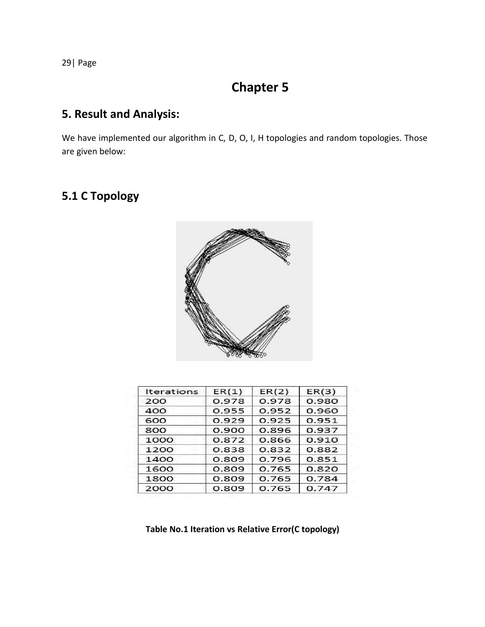# **Chapter 5**

### **5. Result and Analysis:**

We have implemented our algorithm in C, D, O, I, H topologies and random topologies. Those are given below:

## **5.1 C Topology**



| <b>Iterations</b> | ER(1) | ER(2) | ER(3) |
|-------------------|-------|-------|-------|
| 200               | 0.978 | 0.978 | 0.980 |
| 400               | 0.955 | 0.952 | 0.960 |
| 600               | 0.929 | 0.925 | 0.951 |
| 800               | 0.900 | 0.896 | 0.937 |
| 1000              | 0.872 | 0.866 | 0.910 |
| 1200              | 0.838 | 0.832 | 0.882 |
| 1400              | 0.809 | 0.796 | 0.851 |
| 1600              | 0.809 | 0.765 | 0.820 |
| 1800              | 0.809 | 0.765 | 0.784 |
| 2000              | 0.809 | 0.765 | 0.747 |

 **Table No.1 Iteration vs Relative Error(C topology)**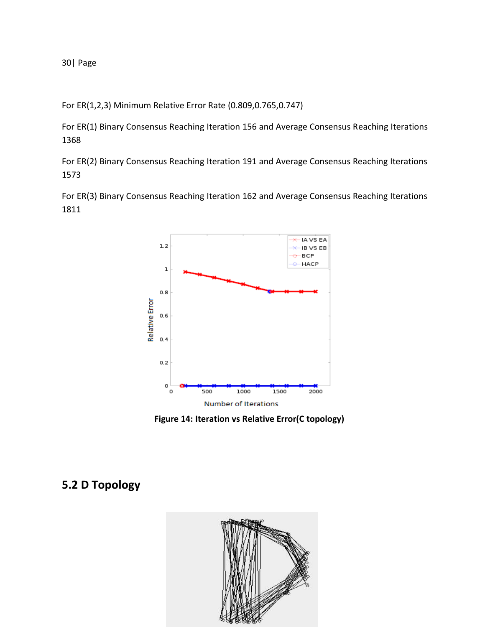For ER(1,2,3) Minimum Relative Error Rate (0.809,0.765,0.747)

For ER(1) Binary Consensus Reaching Iteration 156 and Average Consensus Reaching Iterations 1368

For ER(2) Binary Consensus Reaching Iteration 191 and Average Consensus Reaching Iterations 1573

For ER(3) Binary Consensus Reaching Iteration 162 and Average Consensus Reaching Iterations 1811



 **Figure 14: Iteration vs Relative Error(C topology)** 

### **5.2 D Topology**

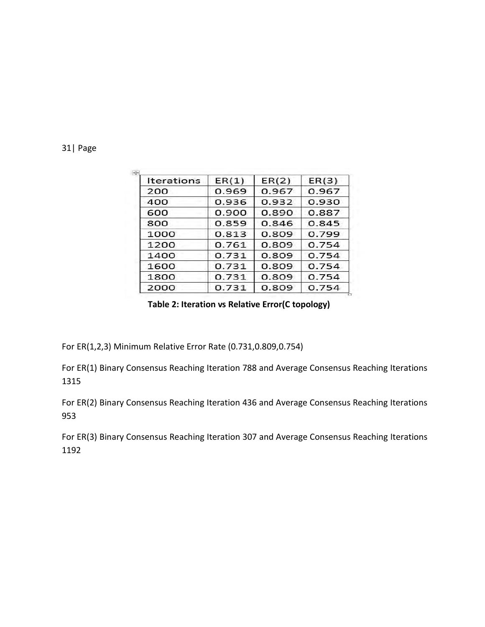| Iterations | ER(1)          | ER(2) | ER(3) |  |
|------------|----------------|-------|-------|--|
| 200        | 0.969          | 0.967 | 0.967 |  |
| 400        | 0.936          | 0.932 | 0.930 |  |
| 600        | 0.900          | 0.890 | 0.887 |  |
| 800        | 0.859          | 0.846 | 0.845 |  |
| 1000       | 0.813<br>0.809 |       | 0.799 |  |
| 1200       | 0.761          | 0.809 | 0.754 |  |
| 1400       | 0.731          | 0.809 | 0.754 |  |
| 1600       | 0.731          | 0.809 | 0.754 |  |
| 1800       | 0.731          | 0.809 | 0.754 |  |
| 2000       | 0.731          | 0.809 | 0.754 |  |

**Table 2: Iteration vs Relative Error(C topology)**

For ER(1,2,3) Minimum Relative Error Rate (0.731,0.809,0.754)

For ER(1) Binary Consensus Reaching Iteration 788 and Average Consensus Reaching Iterations 1315

For ER(2) Binary Consensus Reaching Iteration 436 and Average Consensus Reaching Iterations 953

For ER(3) Binary Consensus Reaching Iteration 307 and Average Consensus Reaching Iterations 1192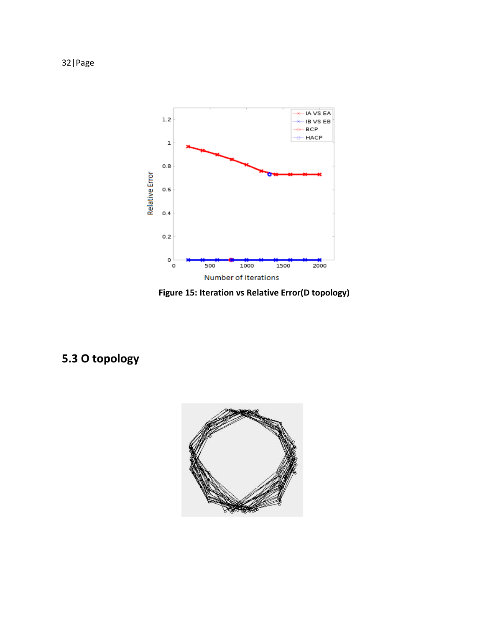

**Figure 15: Iteration vs Relative Error(D topology)** 

# **5.3 O topology**

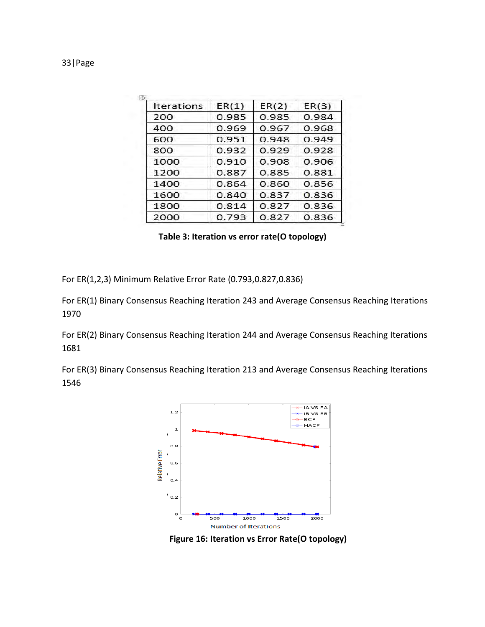| <b>Iterations</b> | ER(1)          | ER(2) | ER(3) |  |
|-------------------|----------------|-------|-------|--|
| 200               | 0.985          | 0.985 | 0.984 |  |
| 400               | 0.969<br>0.967 |       | 0.968 |  |
| 600               | 0.951          | 0.948 |       |  |
| 800               | 0.932          | 0.929 | 0.928 |  |
| 1000              | 0.910<br>0.908 |       | 0.906 |  |
| 1200              | 0.887          | 0.885 | 0.881 |  |
| 1400              | 0.864          | 0.860 | 0.856 |  |
| 1600              | 0.840          | 0.837 | 0.836 |  |
| 1800              | 0.814          | 0.827 | 0.836 |  |
| 2000              | 0.793          | 0.827 | 0.836 |  |

 **Table 3: Iteration vs error rate(O topology)** 

For ER(1,2,3) Minimum Relative Error Rate (0.793,0.827,0.836)

For ER(1) Binary Consensus Reaching Iteration 243 and Average Consensus Reaching Iterations 1970

For ER(2) Binary Consensus Reaching Iteration 244 and Average Consensus Reaching Iterations 1681

For ER(3) Binary Consensus Reaching Iteration 213 and Average Consensus Reaching Iterations 1546



 **Figure 16: Iteration vs Error Rate(O topology)**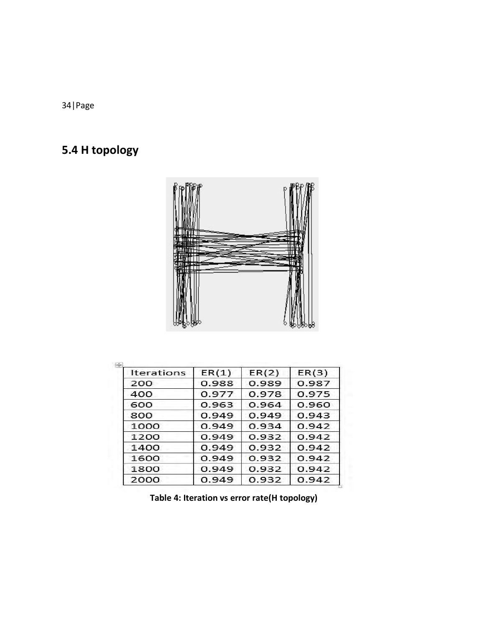# **5.4 H topology**



| Iterations | ER(1) | ER(2) | ER(3) |  |
|------------|-------|-------|-------|--|
| 200        | 0.988 | 0.989 | 0.987 |  |
| 400        | 0.977 | 0.978 | 0.975 |  |
| 600        | 0.963 | 0.964 | 0.960 |  |
| 800        | 0.949 | 0.949 | 0.943 |  |
| 1000       | 0.949 | 0.934 | 0.942 |  |
| 1200       | 0.949 | 0.932 | 0.942 |  |
| 1400       | 0.949 | 0.932 | 0.942 |  |
| 1600       | 0.949 | 0.932 | 0.942 |  |
| 1800       | 0.949 | 0.932 | 0.942 |  |
| 2000       | 0.949 | 0.932 | 0.942 |  |

 **Table 4: Iteration vs error rate(H topology)**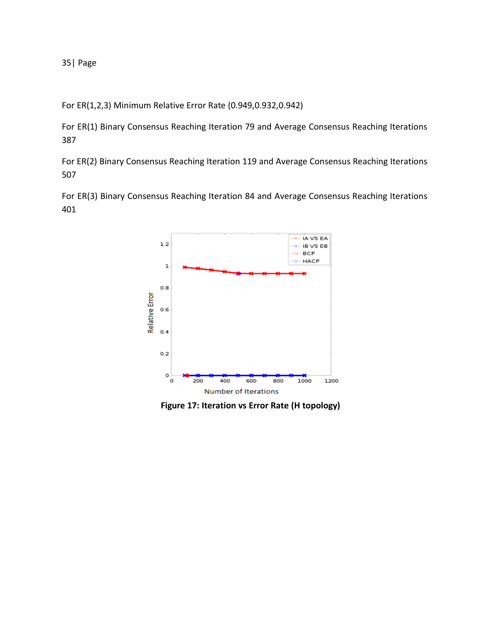For ER(1,2,3) Minimum Relative Error Rate (0.949,0.932,0.942)

For ER(1) Binary Consensus Reaching Iteration 79 and Average Consensus Reaching Iterations 387

For ER(2) Binary Consensus Reaching Iteration 119 and Average Consensus Reaching Iterations 507

For ER(3) Binary Consensus Reaching Iteration 84 and Average Consensus Reaching Iterations 401



 **Figure 17: Iteration vs Error Rate (H topology)**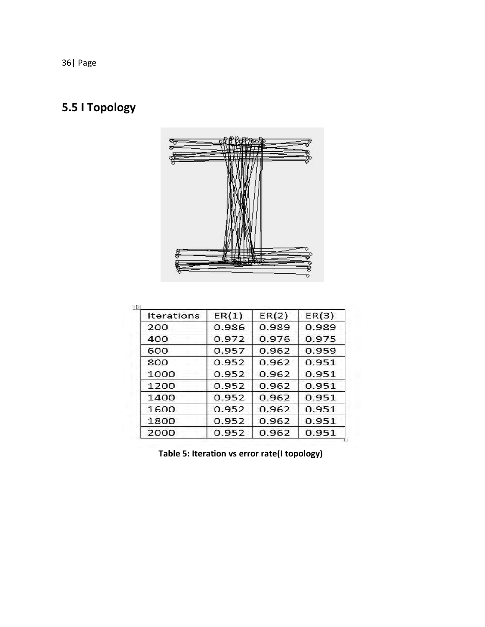# **5.5 I Topology**



| Iterations | ER(1)          | ER(2) | ER(3) |  |
|------------|----------------|-------|-------|--|
| 200        | 0.986          | 0.989 | 0.989 |  |
| 400        | 0.976<br>0.972 |       | 0.975 |  |
| 600        | 0.957          | 0.962 | 0.959 |  |
| 800        | 0.952          | 0.962 | 0.951 |  |
| 1000       | 0.952          | 0.962 | 0.951 |  |
| 1200       | 0.952          | 0.962 | 0.951 |  |
| 1400       | 0.952          | 0.962 | 0.951 |  |
| 1600       | 0.952          | 0.962 | 0.951 |  |
| 1800       | 0.952          | 0.962 | 0.951 |  |
| 2000       | 0.952          | 0.962 | 0.951 |  |

**Table 5: Iteration vs error rate(I topology)**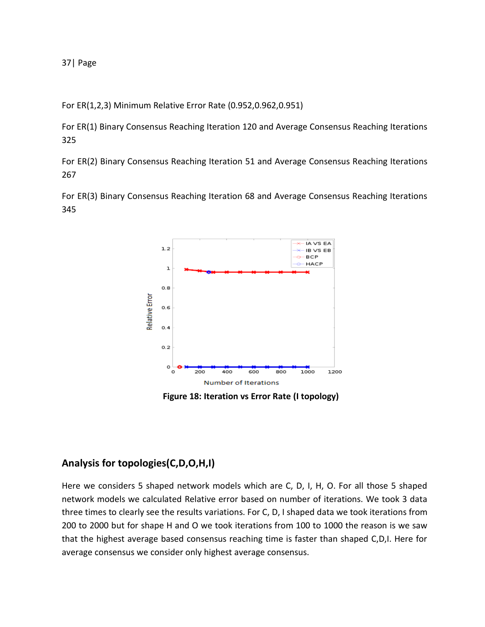For ER(1,2,3) Minimum Relative Error Rate (0.952,0.962,0.951)

For ER(1) Binary Consensus Reaching Iteration 120 and Average Consensus Reaching Iterations 325

For ER(2) Binary Consensus Reaching Iteration 51 and Average Consensus Reaching Iterations 267

For ER(3) Binary Consensus Reaching Iteration 68 and Average Consensus Reaching Iterations 345



 **Figure 18: Iteration vs Error Rate (I topology)** 

### **Analysis for topologies(C,D,O,H,I)**

Here we considers 5 shaped network models which are C, D, I, H, O. For all those 5 shaped network models we calculated Relative error based on number of iterations. We took 3 data three times to clearly see the results variations. For C, D, I shaped data we took iterations from 200 to 2000 but for shape H and O we took iterations from 100 to 1000 the reason is we saw that the highest average based consensus reaching time is faster than shaped C,D,I. Here for average consensus we consider only highest average consensus.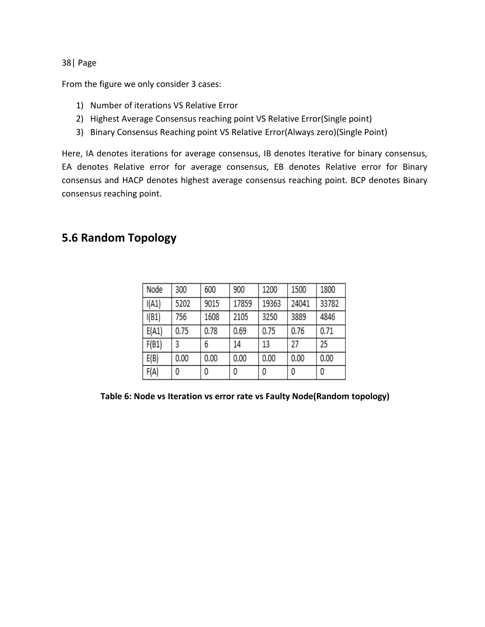From the figure we only consider 3 cases:

- 1) Number of iterations VS Relative Error
- 2) Highest Average Consensus reaching point VS Relative Error(Single point)
- 3) Binary Consensus Reaching point VS Relative Error(Always zero)(Single Point)

Here, IA denotes iterations for average consensus, IB denotes Iterative for binary consensus, EA denotes Relative error for average consensus, EB denotes Relative error for Binary consensus and HACP denotes highest average consensus reaching point. BCP denotes Binary consensus reaching point.

### **5.6 Random Topology**

| Node  | 300  | 600  | 900   | 1200  | 1500  | 1800  |
|-------|------|------|-------|-------|-------|-------|
| I(A1) | 5202 | 9015 | 17859 | 19363 | 24041 | 33782 |
| I(B1) | 756  | 1608 | 2105  | 3250  | 3889  | 4846  |
| E(A1) | 0.75 | 0.78 | 0.69  | 0.75  | 0.76  | 0.71  |
| F(B1) | 3    | 6    | 14    | 13    | 27    | 25    |
| E(B)  | 0.00 | 0.00 | 0.00  | 0.00  | 0.00  | 0.00  |
| F(A)  | 0    | 0    | 0     | 0     | 0     | 0     |

 **Table 6: Node vs Iteration vs error rate vs Faulty Node(Random topology)**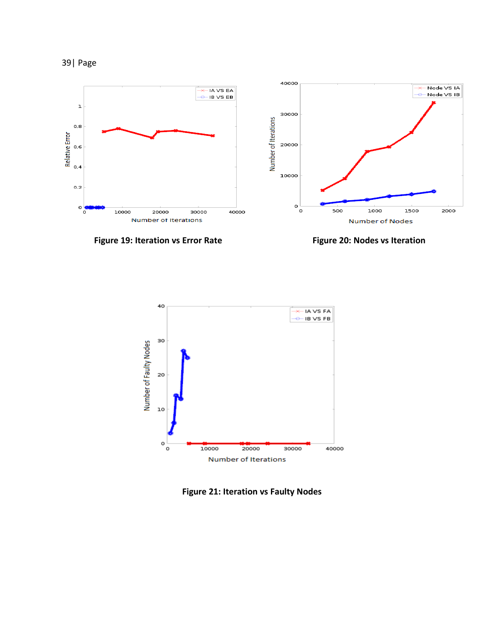







 **Figure 21: Iteration vs Faulty Nodes**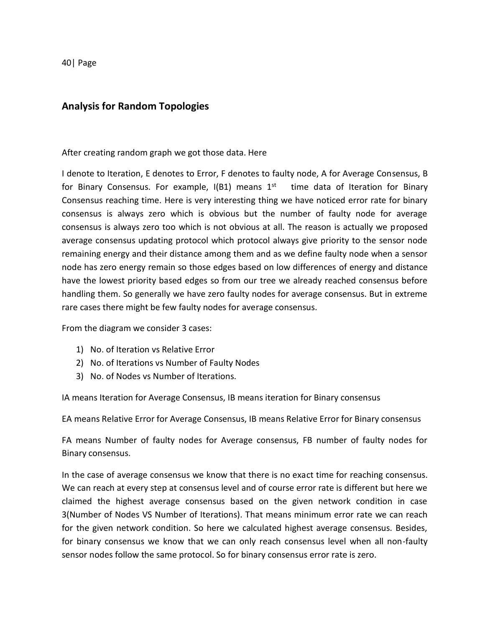#### **Analysis for Random Topologies**

After creating random graph we got those data. Here

I denote to Iteration, E denotes to Error, F denotes to faulty node, A for Average Consensus, B for Binary Consensus. For example,  $I(B1)$  means  $1<sup>st</sup>$  time data of Iteration for Binary Consensus reaching time. Here is very interesting thing we have noticed error rate for binary consensus is always zero which is obvious but the number of faulty node for average consensus is always zero too which is not obvious at all. The reason is actually we proposed average consensus updating protocol which protocol always give priority to the sensor node remaining energy and their distance among them and as we define faulty node when a sensor node has zero energy remain so those edges based on low differences of energy and distance have the lowest priority based edges so from our tree we already reached consensus before handling them. So generally we have zero faulty nodes for average consensus. But in extreme rare cases there might be few faulty nodes for average consensus.

From the diagram we consider 3 cases:

- 1) No. of Iteration vs Relative Error
- 2) No. of Iterations vs Number of Faulty Nodes
- 3) No. of Nodes vs Number of Iterations.

IA means Iteration for Average Consensus, IB means iteration for Binary consensus

EA means Relative Error for Average Consensus, IB means Relative Error for Binary consensus

FA means Number of faulty nodes for Average consensus, FB number of faulty nodes for Binary consensus.

In the case of average consensus we know that there is no exact time for reaching consensus. We can reach at every step at consensus level and of course error rate is different but here we claimed the highest average consensus based on the given network condition in case 3(Number of Nodes VS Number of Iterations). That means minimum error rate we can reach for the given network condition. So here we calculated highest average consensus. Besides, for binary consensus we know that we can only reach consensus level when all non-faulty sensor nodes follow the same protocol. So for binary consensus error rate is zero.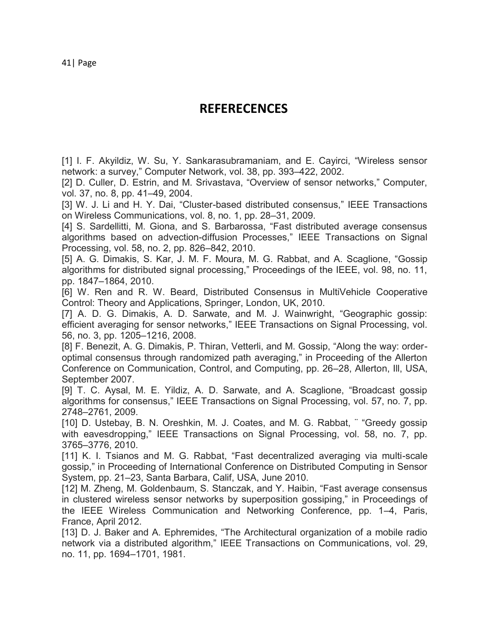**REFERECENCES** 

[1] I. F. Akyildiz, W. Su, Y. Sankarasubramaniam, and E. Cayirci, "Wireless sensor network: a survey," Computer Network, vol. 38, pp. 393–422, 2002.

[2] D. Culler, D. Estrin, and M. Srivastava, "Overview of sensor networks," Computer, vol. 37, no. 8, pp. 41–49, 2004.

[3] W. J. Li and H. Y. Dai, "Cluster-based distributed consensus," IEEE Transactions on Wireless Communications, vol. 8, no. 1, pp. 28–31, 2009.

[4] S. Sardellitti, M. Giona, and S. Barbarossa, "Fast distributed average consensus algorithms based on advection-diffusion Processes," IEEE Transactions on Signal Processing, vol. 58, no. 2, pp. 826–842, 2010.

[5] A. G. Dimakis, S. Kar, J. M. F. Moura, M. G. Rabbat, and A. Scaglione, "Gossip algorithms for distributed signal processing," Proceedings of the IEEE, vol. 98, no. 11, pp. 1847–1864, 2010.

[6] W. Ren and R. W. Beard, Distributed Consensus in MultiVehicle Cooperative Control: Theory and Applications, Springer, London, UK, 2010.

[7] A. D. G. Dimakis, A. D. Sarwate, and M. J. Wainwright, "Geographic gossip: efficient averaging for sensor networks," IEEE Transactions on Signal Processing, vol. 56, no. 3, pp. 1205–1216, 2008.

[8] F. Benezit, A. G. Dimakis, P. Thiran, Vetterli, and M. Gossip, "Along the way: orderoptimal consensus through randomized path averaging," in Proceeding of the Allerton Conference on Communication, Control, and Computing, pp. 26–28, Allerton, Ill, USA, September 2007.

[9] T. C. Aysal, M. E. Yildiz, A. D. Sarwate, and A. Scaglione, "Broadcast gossip algorithms for consensus," IEEE Transactions on Signal Processing, vol. 57, no. 7, pp. 2748–2761, 2009.

[10] D. Ustebay, B. N. Oreshkin, M. J. Coates, and M. G. Rabbat, ""Greedy gossip with eavesdropping," IEEE Transactions on Signal Processing, vol. 58, no. 7, pp. 3765–3776, 2010.

[11] K. I. Tsianos and M. G. Rabbat, "Fast decentralized averaging via multi-scale gossip," in Proceeding of International Conference on Distributed Computing in Sensor System, pp. 21–23, Santa Barbara, Calif, USA, June 2010.

[12] M. Zheng, M. Goldenbaum, S. Stanczak, and Y. Haibin, "Fast average consensus in clustered wireless sensor networks by superposition gossiping," in Proceedings of the IEEE Wireless Communication and Networking Conference, pp. 1–4, Paris, France, April 2012.

[13] D. J. Baker and A. Ephremides, "The Architectural organization of a mobile radio network via a distributed algorithm," IEEE Transactions on Communications, vol. 29, no. 11, pp. 1694–1701, 1981.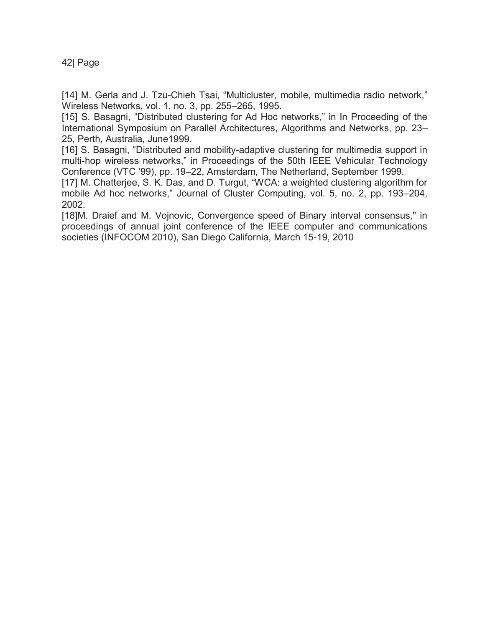[14] M. Gerla and J. Tzu-Chieh Tsai, "Multicluster, mobile, multimedia radio network," Wireless Networks, vol. 1, no. 3, pp. 255–265, 1995.

[15] S. Basagni, "Distributed clustering for Ad Hoc networks," in In Proceeding of the International Symposium on Parallel Architectures, Algorithms and Networks, pp. 23– 25, Perth, Australia, June1999.

[16] S. Basagni, "Distributed and mobility-adaptive clustering for multimedia support in multi-hop wireless networks," in Proceedings of the 50th IEEE Vehicular Technology Conference (VTC '99), pp. 19–22, Amsterdam, The Netherland, September 1999.

[17] M. Chatterjee, S. K. Das, and D. Turgut, "WCA: a weighted clustering algorithm for mobile Ad hoc networks," Journal of Cluster Computing, vol. 5, no. 2, pp. 193–204, 2002.

[18]M. Draief and M. Vojnovic, Convergence speed of Binary interval consensus," in proceedings of annual joint conference of the IEEE computer and communications societies (INFOCOM 2010), San Diego California, March 15-19, 2010